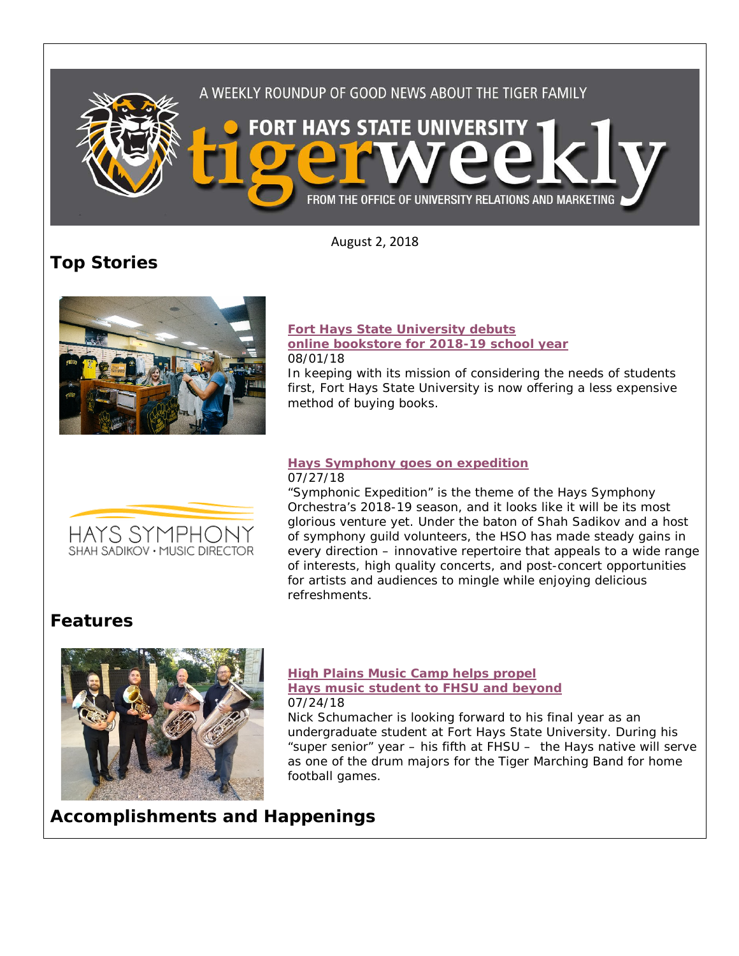

August 2, 2018

**Top Stories**



HAYS SYMPHONY SHAH SADIKOV · MUSIC DIRECTOR

#### **[Fort Hays State University debuts](https://www.fhsu.edu/news/2018/08/fort-hays-state-university-debuts-online-bookstore-for-2018-19-school-year)  [online bookstore for 2018-19 school year](https://www.fhsu.edu/news/2018/08/fort-hays-state-university-debuts-online-bookstore-for-2018-19-school-year)** 08/01/18

In keeping with its mission of considering the needs of students first, Fort Hays State University is now offering a less expensive method of buying books.

#### **[Hays Symphony goes on expedition](https://www.fhsu.edu/news/2018/07/hays-symphony-goes-on-expedition)** 07/27/18

"Symphonic Expedition" is the theme of the Hays Symphony Orchestra's 2018-19 season, and it looks like it will be its most glorious venture yet. Under the baton of Shah Sadikov and a host of symphony guild volunteers, the HSO has made steady gains in every direction – innovative repertoire that appeals to a wide range of interests, high quality concerts, and post-concert opportunities for artists and audiences to mingle while enjoying delicious refreshments.

## **Features**



#### **[High Plains Music Camp helps propel](https://www.fhsu.edu/news/2018/07/high-plains-music-camp-helps-propel-hays-music-student-to-fhsu-and-beyond)  [Hays music student to FHSU and beyond](https://www.fhsu.edu/news/2018/07/high-plains-music-camp-helps-propel-hays-music-student-to-fhsu-and-beyond)** 07/24/18

Nick Schumacher is looking forward to his final year as an undergraduate student at Fort Hays State University. During his "super senior" year – his fifth at FHSU – the Hays native will serve as one of the drum majors for the Tiger Marching Band for home football games.

# **Accomplishments and Happenings**